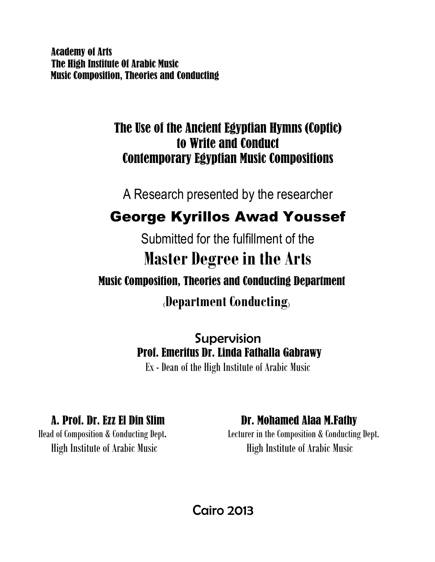Academy of Arts The High Institute 0f Arabic Music Music Composition, Theories and Conducting

### The Use of the Ancient Egyptian Hymns (Coptic) to Write and Conduct Contemporary Egyptian Music Compositions

A Research presented by the researcher

## George Kyrillos Awad Youssef

Submitted for the fulfillment of the **Master Degree in the Arts** Music Composition, Theories and Conducting Department

**(Department Conducting)**

Supervision Prof. Emeritus Dr. Linda Fathalla Gabrawy

Ex - Dean of the High Institute of Arabic Music

**A. Prof. Dr. Ezz El Din Slim Dr. Mohamed Alaa M.Fathy**<br>Head of Composition & Conducting Dept. Lecturer in the Composition & Conducting

Lecturer in the Composition & Conducting Dept. High Institute of Arabic Music High Institute of Arabic Music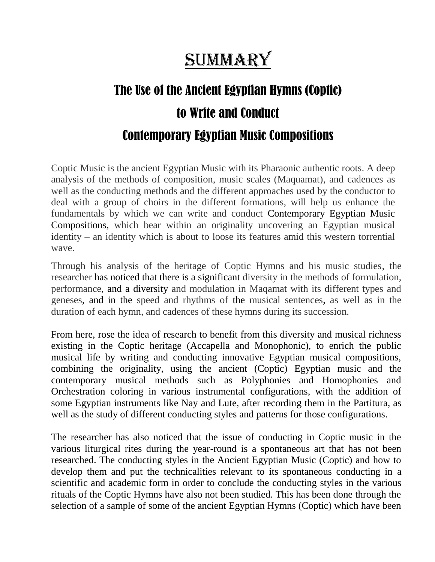# SUMMARY

# The Use of the Ancient Egyptian Hymns (Coptic) to Write and Conduct Contemporary Egyptian Music Compositions

Coptic Music is the ancient Egyptian Music with its Pharaonic authentic roots. A deep analysis of the methods of composition, music scales (Maquamat), and cadences as well as the conducting methods and the different approaches used by the conductor to deal with a group of choirs in the different formations, will help us enhance the fundamentals by which we can write and conduct Contemporary Egyptian Music Compositions, which bear within an originality uncovering an Egyptian musical identity – an identity which is about to loose its features amid this western torrential wave.

Through his analysis of the heritage of Coptic Hymns and his music studies, the researcher has noticed that there is a significant diversity in the methods of formulation, performance, and a diversity and modulation in Maqamat with its different types and geneses, and in the speed and rhythms of the musical sentences, as well as in the duration of each hymn, and cadences of these hymns during its succession.

From here, rose the idea of research to benefit from this diversity and musical richness existing in the Coptic heritage (Accapella and Monophonic), to enrich the public musical life by writing and conducting innovative Egyptian musical compositions, combining the originality, using the ancient (Coptic) Egyptian music and the contemporary musical methods such as Polyphonies and Homophonies and Orchestration coloring in various instrumental configurations, with the addition of some Egyptian instruments like Nay and Lute, after recording them in the Partitura, as well as the study of different conducting styles and patterns for those configurations.

The researcher has also noticed that the issue of conducting in Coptic music in the various liturgical rites during the year-round is a spontaneous art that has not been researched. The conducting styles in the Ancient Egyptian Music (Coptic) and how to develop them and put the technicalities relevant to its spontaneous conducting in a scientific and academic form in order to conclude the conducting styles in the various rituals of the Coptic Hymns have also not been studied. This has been done through the selection of a sample of some of the ancient Egyptian Hymns (Coptic) which have been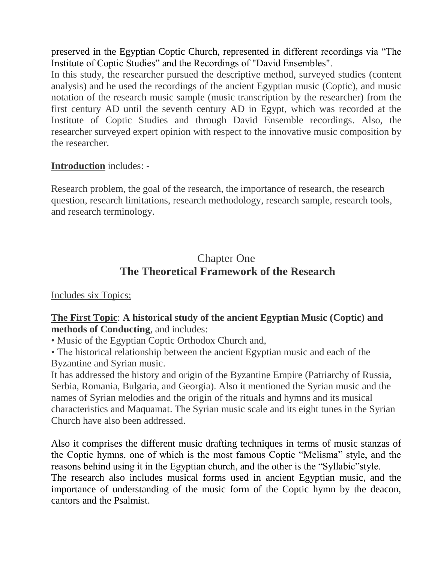preserved in the Egyptian Coptic Church, represented in different recordings via "The Institute of Coptic Studies" and the Recordings of "David Ensembles".

In this study, the researcher pursued the descriptive method, surveyed studies (content analysis) and he used the recordings of the ancient Egyptian music (Coptic), and music notation of the research music sample (music transcription by the researcher) from the first century AD until the seventh century AD in Egypt, which was recorded at the Institute of Coptic Studies and through David Ensemble recordings. Also, the researcher surveyed expert opinion with respect to the innovative music composition by the researcher.

#### **Introduction** includes: -

Research problem, the goal of the research, the importance of research, the research question, research limitations, research methodology, research sample, research tools, and research terminology.

### Chapter One **The Theoretical Framework of the Research**

#### Includes six Topics;

#### **The First Topic**: **A historical study of the ancient Egyptian Music (Coptic) and methods of Conducting**, and includes:

• Music of the Egyptian Coptic Orthodox Church and,

• The historical relationship between the ancient Egyptian music and each of the Byzantine and Syrian music.

It has addressed the history and origin of the Byzantine Empire (Patriarchy of Russia, Serbia, Romania, Bulgaria, and Georgia). Also it mentioned the Syrian music and the names of Syrian melodies and the origin of the rituals and hymns and its musical characteristics and Maquamat. The Syrian music scale and its eight tunes in the Syrian Church have also been addressed.

Also it comprises the different music drafting techniques in terms of music stanzas of the Coptic hymns, one of which is the most famous Coptic "Melisma" style, and the reasons behind using it in the Egyptian church, and the other is the "Syllabic"style. The research also includes musical forms used in ancient Egyptian music, and the importance of understanding of the music form of the Coptic hymn by the deacon, cantors and the Psalmist.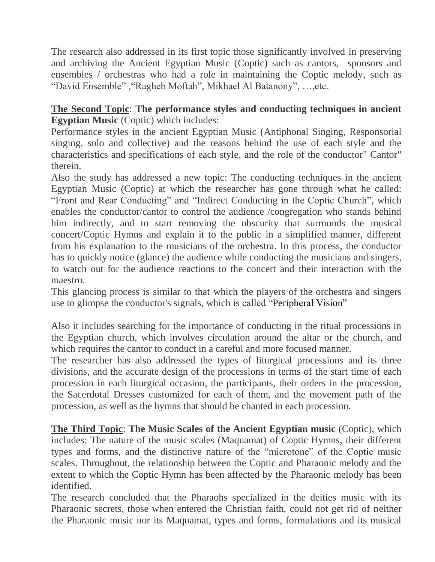The research also addressed in its first topic those significantly involved in preserving and archiving the Ancient Egyptian Music (Coptic) such as cantors, sponsors and ensembles / orchestras who had a role in maintaining the Coptic melody, such as "David Ensemble" ,"Ragheb Moftah", Mikhael Al Batanony", …,etc.

#### **The Second Topic**: **The performance styles and conducting techniques in ancient Egyptian Music** (Coptic) which includes:

Performance styles in the ancient Egyptian Music (Antiphonal Singing, Responsorial singing, solo and collective) and the reasons behind the use of each style and the characteristics and specifications of each style, and the role of the conductor" Cantor" therein.

Also the study has addressed a new topic: The conducting techniques in the ancient Egyptian Music (Coptic) at which the researcher has gone through what he called: "Front and Rear Conducting" and "Indirect Conducting in the Coptic Church", which enables the conductor/cantor to control the audience /congregation who stands behind him indirectly, and to start removing the obscurity that surrounds the musical concert/Coptic Hymns and explain it to the public in a simplified manner, different from his explanation to the musicians of the orchestra. In this process, the conductor has to quickly notice (glance) the audience while conducting the musicians and singers, to watch out for the audience reactions to the concert and their interaction with the maestro.

This glancing process is similar to that which the players of the orchestra and singers use to glimpse the conductor's signals, which is called "Peripheral Vision"

Also it includes searching for the importance of conducting in the ritual processions in the Egyptian church, which involves circulation around the altar or the church, and which requires the cantor to conduct in a careful and more focused manner.

The researcher has also addressed the types of liturgical processions and its three divisions, and the accurate design of the processions in terms of the start time of each procession in each liturgical occasion, the participants, their orders in the procession, the Sacerdotal Dresses customized for each of them, and the movement path of the procession, as well as the hymns that should be chanted in each procession.

**The Third Topic**: **The Music Scales of the Ancient Egyptian music** (Coptic), which includes: The nature of the music scales (Maquamat) of Coptic Hymns, their different types and forms, and the distinctive nature of the "microtone" of the Coptic music scales. Throughout, the relationship between the Coptic and Pharaonic melody and the extent to which the Coptic Hymn has been affected by the Pharaonic melody has been identified.

The research concluded that the Pharaohs specialized in the deities music with its Pharaonic secrets, those when entered the Christian faith, could not get rid of neither the Pharaonic music nor its Maquamat, types and forms, formulations and its musical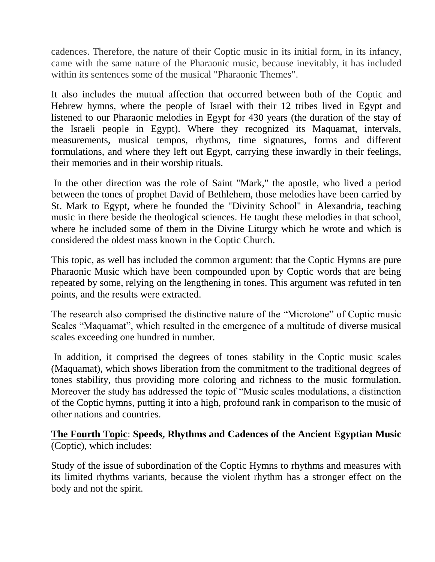cadences. Therefore, the nature of their Coptic music in its initial form, in its infancy, came with the same nature of the Pharaonic music, because inevitably, it has included within its sentences some of the musical "Pharaonic Themes".

It also includes the mutual affection that occurred between both of the Coptic and Hebrew hymns, where the people of Israel with their 12 tribes lived in Egypt and listened to our Pharaonic melodies in Egypt for 430 years (the duration of the stay of the Israeli people in Egypt). Where they recognized its Maquamat, intervals, measurements, musical tempos, rhythms, time signatures, forms and different formulations, and where they left out Egypt, carrying these inwardly in their feelings, their memories and in their worship rituals.

In the other direction was the role of Saint "Mark," the apostle, who lived a period between the tones of prophet David of Bethlehem, those melodies have been carried by St. Mark to Egypt, where he founded the "Divinity School" in Alexandria, teaching music in there beside the theological sciences. He taught these melodies in that school, where he included some of them in the Divine Liturgy which he wrote and which is considered the oldest mass known in the Coptic Church.

This topic, as well has included the common argument: that the Coptic Hymns are pure Pharaonic Music which have been compounded upon by Coptic words that are being repeated by some, relying on the lengthening in tones. This argument was refuted in ten points, and the results were extracted.

The research also comprised the distinctive nature of the "Microtone" of Coptic music Scales "Maquamat", which resulted in the emergence of a multitude of diverse musical scales exceeding one hundred in number.

In addition, it comprised the degrees of tones stability in the Coptic music scales (Maquamat), which shows liberation from the commitment to the traditional degrees of tones stability, thus providing more coloring and richness to the music formulation. Moreover the study has addressed the topic of "Music scales modulations, a distinction of the Coptic hymns, putting it into a high, profound rank in comparison to the music of other nations and countries.

**The Fourth Topic**: **Speeds, Rhythms and Cadences of the Ancient Egyptian Music**  (Coptic), which includes:

Study of the issue of subordination of the Coptic Hymns to rhythms and measures with its limited rhythms variants, because the violent rhythm has a stronger effect on the body and not the spirit.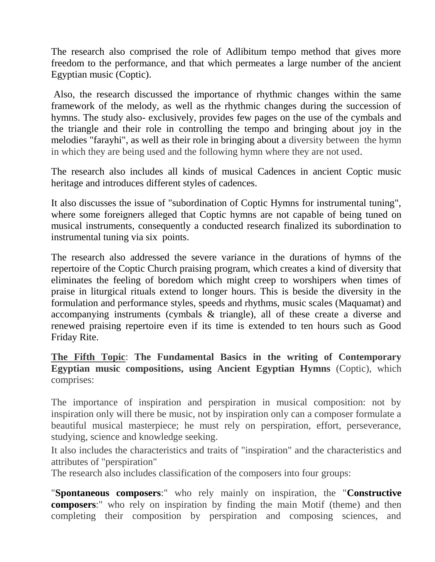The research also comprised the role of Adlibitum tempo method that gives more freedom to the performance, and that which permeates a large number of the ancient Egyptian music (Coptic).

Also, the research discussed the importance of rhythmic changes within the same framework of the melody, as well as the rhythmic changes during the succession of hymns. The study also- exclusively, provides few pages on the use of the cymbals and the triangle and their role in controlling the tempo and bringing about joy in the melodies "farayhi", as well as their role in bringing about a diversity between the hymn in which they are being used and the following hymn where they are not used.

The research also includes all kinds of musical Cadences in ancient Coptic music heritage and introduces different styles of cadences.

It also discusses the issue of "subordination of Coptic Hymns for instrumental tuning", where some foreigners alleged that Coptic hymns are not capable of being tuned on musical instruments, consequently a conducted research finalized its subordination to instrumental tuning via six points.

The research also addressed the severe variance in the durations of hymns of the repertoire of the Coptic Church praising program, which creates a kind of diversity that eliminates the feeling of boredom which might creep to worshipers when times of praise in liturgical rituals extend to longer hours. This is beside the diversity in the formulation and performance styles, speeds and rhythms, music scales (Maquamat) and accompanying instruments (cymbals & triangle), all of these create a diverse and renewed praising repertoire even if its time is extended to ten hours such as Good Friday Rite.

**The Fifth Topic**: **The Fundamental Basics in the writing of Contemporary Egyptian music compositions, using Ancient Egyptian Hymns** (Coptic), which comprises:

The importance of inspiration and perspiration in musical composition: not by inspiration only will there be music, not by inspiration only can a composer formulate a beautiful musical masterpiece; he must rely on perspiration, effort, perseverance, studying, science and knowledge seeking.

It also includes the characteristics and traits of "inspiration" and the characteristics and attributes of "perspiration"

The research also includes classification of the composers into four groups:

"**Spontaneous composers**:" who rely mainly on inspiration, the "**Constructive composers**:" who rely on inspiration by finding the main Motif (theme) and then completing their composition by perspiration and composing sciences, and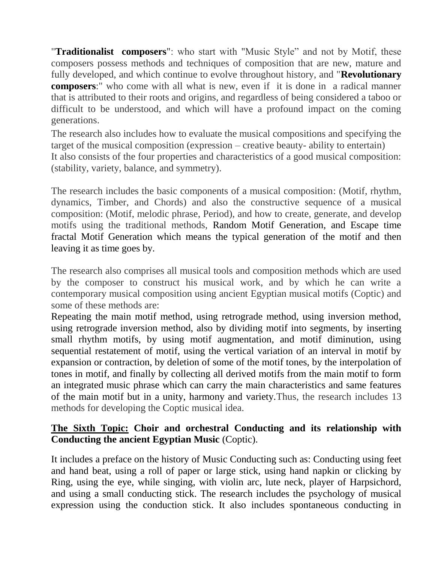"**Traditionalist composers**": who start with "Music Style" and not by Motif, these composers possess methods and techniques of composition that are new, mature and fully developed, and which continue to evolve throughout history, and "**Revolutionary composers**:" who come with all what is new, even if it is done in a radical manner that is attributed to their roots and origins, and regardless of being considered a taboo or difficult to be understood, and which will have a profound impact on the coming generations.

The research also includes how to evaluate the musical compositions and specifying the target of the musical composition (expression – creative beauty- ability to entertain) It also consists of the four properties and characteristics of a good musical composition: (stability, variety, balance, and symmetry).

The research includes the basic components of a musical composition: (Motif, rhythm, dynamics, Timber, and Chords) and also the constructive sequence of a musical composition: (Motif, melodic phrase, Period), and how to create, generate, and develop motifs using the traditional methods, Random Motif Generation, and Escape time fractal Motif Generation which means the typical generation of the motif and then leaving it as time goes by.

The research also comprises all musical tools and composition methods which are used by the composer to construct his musical work, and by which he can write a contemporary musical composition using ancient Egyptian musical motifs (Coptic) and some of these methods are:

Repeating the main motif method, using retrograde method, using inversion method, using retrograde inversion method, also by dividing motif into segments, by inserting small rhythm motifs, by using motif augmentation, and motif diminution, using sequential restatement of motif, using the vertical variation of an interval in motif by expansion or contraction, by deletion of some of the motif tones, by the interpolation of tones in motif, and finally by collecting all derived motifs from the main motif to form an integrated music phrase which can carry the main characteristics and same features of the main motif but in a unity, harmony and variety.Thus, the research includes 13 methods for developing the Coptic musical idea.

#### **The Sixth Topic: Choir and orchestral Conducting and its relationship with Conducting the ancient Egyptian Music** (Coptic).

It includes a preface on the history of Music Conducting such as: Conducting using feet and hand beat, using a roll of paper or large stick, using hand napkin or clicking by Ring, using the eye, while singing, with violin arc, lute neck, player of Harpsichord, and using a small conducting stick. The research includes the psychology of musical expression using the conduction stick. It also includes spontaneous conducting in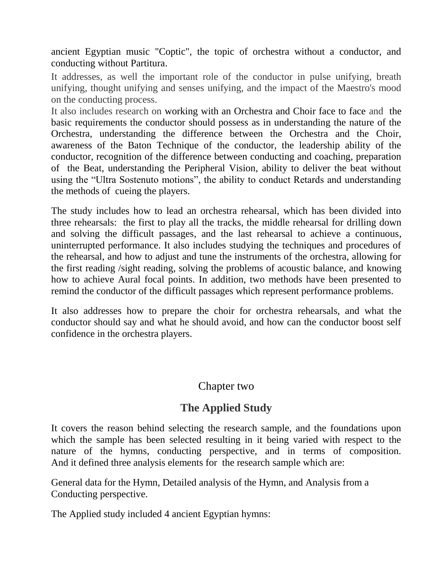ancient Egyptian music "Coptic", the topic of orchestra without a conductor, and conducting without Partitura.

It addresses, as well the important role of the conductor in pulse unifying, breath unifying, thought unifying and senses unifying, and the impact of the Maestro's mood on the conducting process.

It also includes research on working with an Orchestra and Choir face to face and the basic requirements the conductor should possess as in understanding the nature of the Orchestra, understanding the difference between the Orchestra and the Choir, awareness of the Baton Technique of the conductor, the leadership ability of the conductor, recognition of the difference between conducting and coaching, preparation of the Beat, understanding the Peripheral Vision, ability to deliver the beat without using the "Ultra Sostenuto motions", the ability to conduct Retards and understanding the methods of cueing the players.

The study includes how to lead an orchestra rehearsal, which has been divided into three rehearsals: the first to play all the tracks, the middle rehearsal for drilling down and solving the difficult passages, and the last rehearsal to achieve a continuous, uninterrupted performance. It also includes studying the techniques and procedures of the rehearsal, and how to adjust and tune the instruments of the orchestra, allowing for the first reading /sight reading, solving the problems of acoustic balance, and knowing how to achieve Aural focal points. In addition, two methods have been presented to remind the conductor of the difficult passages which represent performance problems.

It also addresses how to prepare the choir for orchestra rehearsals, and what the conductor should say and what he should avoid, and how can the conductor boost self confidence in the orchestra players.

#### Chapter two

### **The Applied Study**

It covers the reason behind selecting the research sample, and the foundations upon which the sample has been selected resulting in it being varied with respect to the nature of the hymns, conducting perspective, and in terms of composition. And it defined three analysis elements for the research sample which are:

General data for the Hymn, Detailed analysis of the Hymn, and Analysis from a Conducting perspective.

The Applied study included 4 ancient Egyptian hymns: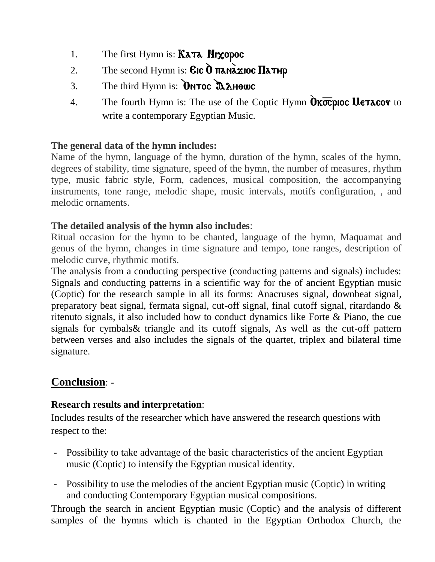- 1. The first Hymn is:  $K\lambda\tau\lambda$  **Hixopoc**
- 2. The second Hymn is:  $Cic$   $\tilde{O}$   $\pi$ anà $\tilde{a}$ zioc  $\Pi$ a $\pi$ Hp
- 3. The third Hymn is:  $\overline{Q}$ NTOC  $\overline{Q}$  $\lambda$ H $\theta$ WC
- 4. The fourth Hymn is: The use of the Coptic Hymn  $\hat{O}$  **Kocpioc UETACOV** to write a contemporary Egyptian Music.

#### **The general data of the hymn includes:**

Name of the hymn, language of the hymn, duration of the hymn, scales of the hymn, degrees of stability, time signature, speed of the hymn, the number of measures, rhythm type, music fabric style, Form, cadences, musical composition, the accompanying instruments, tone range, melodic shape, music intervals, motifs configuration, , and melodic ornaments.

#### **The detailed analysis of the hymn also includes**:

Ritual occasion for the hymn to be chanted, language of the hymn, Maquamat and genus of the hymn, changes in time signature and tempo, tone ranges, description of melodic curve, rhythmic motifs.

The analysis from a conducting perspective (conducting patterns and signals) includes: Signals and conducting patterns in a scientific way for the of ancient Egyptian music (Coptic) for the research sample in all its forms: Anacruses signal, downbeat signal, preparatory beat signal, fermata signal, cut-off signal, final cutoff signal, ritardando & ritenuto signals, it also included how to conduct dynamics like Forte & Piano, the cue signals for cymbals& triangle and its cutoff signals, As well as the cut-off pattern between verses and also includes the signals of the quartet, triplex and bilateral time signature.

#### **Conclusion**: -

#### **Research results and interpretation**:

Includes results of the researcher which have answered the research questions with respect to the:

- Possibility to take advantage of the basic characteristics of the ancient Egyptian music (Coptic) to intensify the Egyptian musical identity.
- Possibility to use the melodies of the ancient Egyptian music (Coptic) in writing and conducting Contemporary Egyptian musical compositions.

Through the search in ancient Egyptian music (Coptic) and the analysis of different samples of the hymns which is chanted in the Egyptian Orthodox Church, the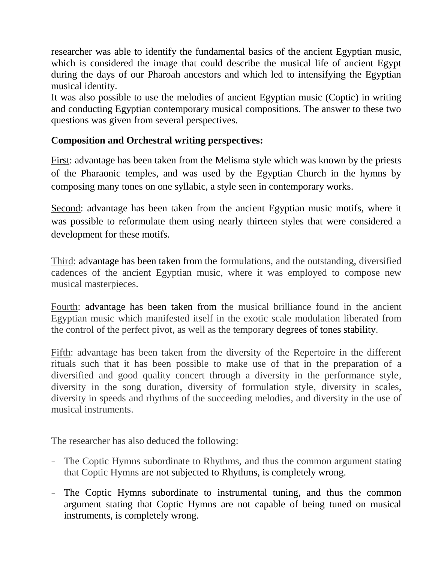researcher was able to identify the fundamental basics of the ancient Egyptian music, which is considered the image that could describe the musical life of ancient Egypt during the days of our Pharoah ancestors and which led to intensifying the Egyptian musical identity.

It was also possible to use the melodies of ancient Egyptian music (Coptic) in writing and conducting Egyptian contemporary musical compositions. The answer to these two questions was given from several perspectives.

#### **Composition and Orchestral writing perspectives:**

First: advantage has been taken from the Melisma style which was known by the priests of the Pharaonic temples, and was used by the Egyptian Church in the hymns by composing many tones on one syllabic, a style seen in contemporary works.

Second: advantage has been taken from the ancient Egyptian music motifs, where it was possible to reformulate them using nearly thirteen styles that were considered a development for these motifs.

Third: advantage has been taken from the formulations, and the outstanding, diversified cadences of the ancient Egyptian music, where it was employed to compose new musical masterpieces.

Fourth: advantage has been taken from the musical brilliance found in the ancient Egyptian music which manifested itself in the exotic scale modulation liberated from the control of the perfect pivot, as well as the temporary degrees of tones stability.

Fifth: advantage has been taken from the diversity of the Repertoire in the different rituals such that it has been possible to make use of that in the preparation of a diversified and good quality concert through a diversity in the performance style, diversity in the song duration, diversity of formulation style, diversity in scales, diversity in speeds and rhythms of the succeeding melodies, and diversity in the use of musical instruments.

The researcher has also deduced the following:

- The Coptic Hymns subordinate to Rhythms, and thus the common argument stating that Coptic Hymns are not subjected to Rhythms, is completely wrong.
- The Coptic Hymns subordinate to instrumental tuning, and thus the common argument stating that Coptic Hymns are not capable of being tuned on musical instruments, is completely wrong.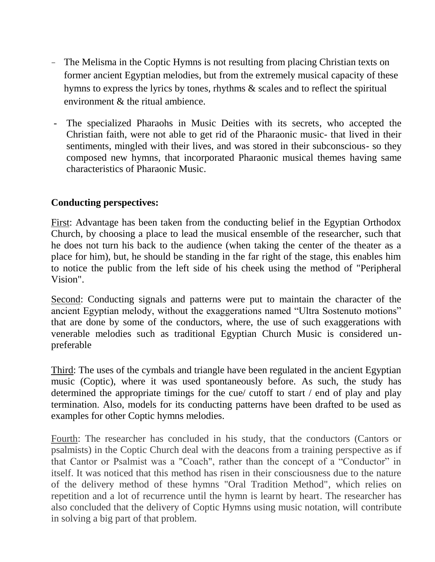- The Melisma in the Coptic Hymns is not resulting from placing Christian texts on former ancient Egyptian melodies, but from the extremely musical capacity of these hymns to express the lyrics by tones, rhythms & scales and to reflect the spiritual environment & the ritual ambience.
- The specialized Pharaohs in Music Deities with its secrets, who accepted the Christian faith, were not able to get rid of the Pharaonic music- that lived in their sentiments, mingled with their lives, and was stored in their subconscious- so they composed new hymns, that incorporated Pharaonic musical themes having same characteristics of Pharaonic Music.

#### **Conducting perspectives:**

First: Advantage has been taken from the conducting belief in the Egyptian Orthodox Church, by choosing a place to lead the musical ensemble of the researcher, such that he does not turn his back to the audience (when taking the center of the theater as a place for him), but, he should be standing in the far right of the stage, this enables him to notice the public from the left side of his cheek using the method of "Peripheral Vision".

Second: Conducting signals and patterns were put to maintain the character of the ancient Egyptian melody, without the exaggerations named "Ultra Sostenuto motions" that are done by some of the conductors, where, the use of such exaggerations with venerable melodies such as traditional Egyptian Church Music is considered unpreferable

Third: The uses of the cymbals and triangle have been regulated in the ancient Egyptian music (Coptic), where it was used spontaneously before. As such, the study has determined the appropriate timings for the cue/ cutoff to start / end of play and play termination. Also, models for its conducting patterns have been drafted to be used as examples for other Coptic hymns melodies.

Fourth: The researcher has concluded in his study, that the conductors (Cantors or psalmists) in the Coptic Church deal with the deacons from a training perspective as if that Cantor or Psalmist was a "Coach", rather than the concept of a "Conductor" in itself. It was noticed that this method has risen in their consciousness due to the nature of the delivery method of these hymns "Oral Tradition Method", which relies on repetition and a lot of recurrence until the hymn is learnt by heart. The researcher has also concluded that the delivery of Coptic Hymns using music notation, will contribute in solving a big part of that problem.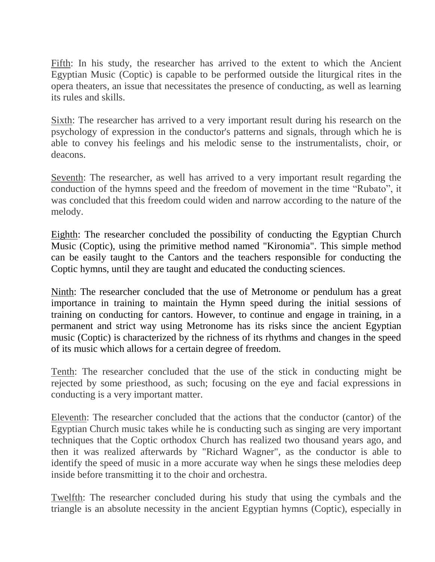Fifth: In his study, the researcher has arrived to the extent to which the Ancient Egyptian Music (Coptic) is capable to be performed outside the liturgical rites in the opera theaters, an issue that necessitates the presence of conducting, as well as learning its rules and skills.

Sixth: The researcher has arrived to a very important result during his research on the psychology of expression in the conductor's patterns and signals, through which he is able to convey his feelings and his melodic sense to the instrumentalists, choir, or deacons.

Seventh: The researcher, as well has arrived to a very important result regarding the conduction of the hymns speed and the freedom of movement in the time "Rubato", it was concluded that this freedom could widen and narrow according to the nature of the melody.

Eighth: The researcher concluded the possibility of conducting the Egyptian Church Music (Coptic), using the primitive method named "Kironomia". This simple method can be easily taught to the Cantors and the teachers responsible for conducting the Coptic hymns, until they are taught and educated the conducting sciences.

Ninth: The researcher concluded that the use of Metronome or pendulum has a great importance in training to maintain the Hymn speed during the initial sessions of training on conducting for cantors. However, to continue and engage in training, in a permanent and strict way using Metronome has its risks since the ancient Egyptian music (Coptic) is characterized by the richness of its rhythms and changes in the speed of its music which allows for a certain degree of freedom.

Tenth: The researcher concluded that the use of the stick in conducting might be rejected by some priesthood, as such; focusing on the eye and facial expressions in conducting is a very important matter.

Eleventh: The researcher concluded that the actions that the conductor (cantor) of the Egyptian Church music takes while he is conducting such as singing are very important techniques that the Coptic orthodox Church has realized two thousand years ago, and then it was realized afterwards by "Richard Wagner", as the conductor is able to identify the speed of music in a more accurate way when he sings these melodies deep inside before transmitting it to the choir and orchestra.

Twelfth: The researcher concluded during his study that using the cymbals and the triangle is an absolute necessity in the ancient Egyptian hymns (Coptic), especially in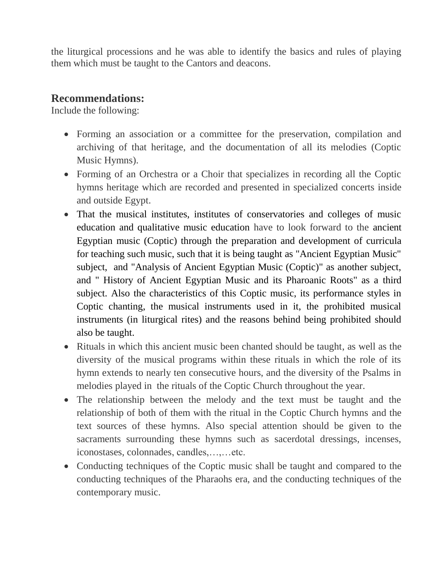the liturgical processions and he was able to identify the basics and rules of playing them which must be taught to the Cantors and deacons.

#### **Recommendations:**

Include the following:

- Forming an association or a committee for the preservation, compilation and archiving of that heritage, and the documentation of all its melodies (Coptic Music Hymns).
- Forming of an Orchestra or a Choir that specializes in recording all the Coptic hymns heritage which are recorded and presented in specialized concerts inside and outside Egypt.
- That the musical institutes, institutes of conservatories and colleges of music education and qualitative music education have to look forward to the ancient Egyptian music (Coptic) through the preparation and development of curricula for teaching such music, such that it is being taught as "Ancient Egyptian Music" subject, and "Analysis of Ancient Egyptian Music (Coptic)" as another subject, and " History of Ancient Egyptian Music and its Pharoanic Roots" as a third subject. Also the characteristics of this Coptic music, its performance styles in Coptic chanting, the musical instruments used in it, the prohibited musical instruments (in liturgical rites) and the reasons behind being prohibited should also be taught.
- Rituals in which this ancient music been chanted should be taught, as well as the diversity of the musical programs within these rituals in which the role of its hymn extends to nearly ten consecutive hours, and the diversity of the Psalms in melodies played in the rituals of the Coptic Church throughout the year.
- The relationship between the melody and the text must be taught and the relationship of both of them with the ritual in the Coptic Church hymns and the text sources of these hymns. Also special attention should be given to the sacraments surrounding these hymns such as sacerdotal dressings, incenses, iconostases, colonnades, candles,…,…etc.
- Conducting techniques of the Coptic music shall be taught and compared to the conducting techniques of the Pharaohs era, and the conducting techniques of the contemporary music.